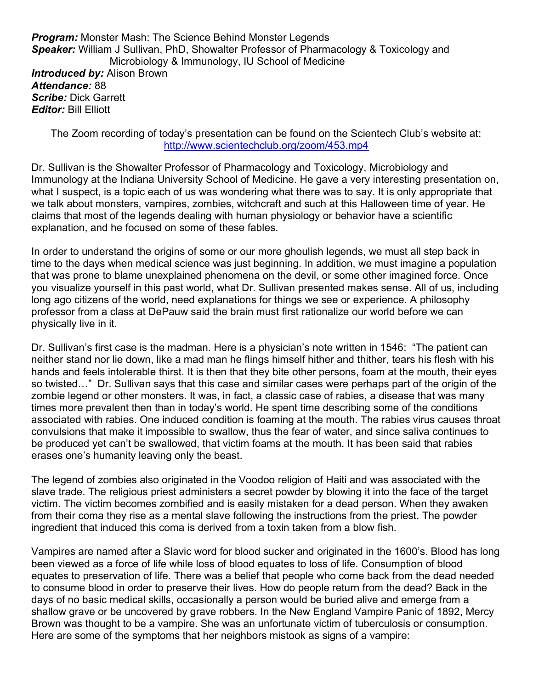**Program:** Monster Mash: The Science Behind Monster Legends Speaker: William J Sullivan, PhD, Showalter Professor of Pharmacology & Toxicology and Microbiology & Immunology, IU School of Medicine **Introduced by: Alison Brown** Attendance: 88 Scribe: Dick Garrett **Editor: Bill Elliott** 

The Zoom recording of today's presentation can be found on the Scientech Club's website at: http://www.scientechclub.org/zoom/453.mp4

Dr. Sullivan is the Showalter Professor of Pharmacology and Toxicology, Microbiology and Immunology at the Indiana University School of Medicine. He gave a very interesting presentation on, what I suspect, is a topic each of us was wondering what there was to say. It is only appropriate that we talk about monsters, vampires, zombies, witchcraft and such at this Halloween time of year. He claims that most of the legends dealing with human physiology or behavior have a scientific explanation, and he focused on some of these fables.

In order to understand the origins of some or our more ghoulish legends, we must all step back in time to the days when medical science was just beginning. In addition, we must imagine a population that was prone to blame unexplained phenomena on the devil, or some other imagined force. Once you visualize yourself in this past world, what Dr. Sullivan presented makes sense. All of us, including long ago citizens of the world, need explanations for things we see or experience. A philosophy professor from a class at DePauw said the brain must first rationalize our world before we can physically live in it.

Dr. Sullivan's first case is the madman. Here is a physician's note written in 1546: "The patient can neither stand nor lie down, like a mad man he flings himself hither and thither, tears his flesh with his hands and feels intolerable thirst. It is then that they bite other persons, foam at the mouth, their eyes so twisted…" Dr. Sullivan says that this case and similar cases were perhaps part of the origin of the zombie legend or other monsters. It was, in fact, a classic case of rabies, a disease that was many times more prevalent then than in today's world. He spent time describing some of the conditions associated with rabies. One induced condition is foaming at the mouth. The rabies virus causes throat convulsions that make it impossible to swallow, thus the fear of water, and since saliva continues to be produced yet can't be swallowed, that victim foams at the mouth. It has been said that rabies erases one's humanity leaving only the beast.

The legend of zombies also originated in the Voodoo religion of Haiti and was associated with the slave trade. The religious priest administers a secret powder by blowing it into the face of the target victim. The victim becomes zombified and is easily mistaken for a dead person. When they awaken from their coma they rise as a mental slave following the instructions from the priest. The powder ingredient that induced this coma is derived from a toxin taken from a blow fish.

Vampires are named after a Slavic word for blood sucker and originated in the 1600's. Blood has long been viewed as a force of life while loss of blood equates to loss of life. Consumption of blood equates to preservation of life. There was a belief that people who come back from the dead needed to consume blood in order to preserve their lives. How do people return from the dead? Back in the days of no basic medical skills, occasionally a person would be buried alive and emerge from a shallow grave or be uncovered by grave robbers. In the New England Vampire Panic of 1892, Mercy Brown was thought to be a vampire. She was an unfortunate victim of tuberculosis or consumption. Here are some of the symptoms that her neighbors mistook as signs of a vampire: